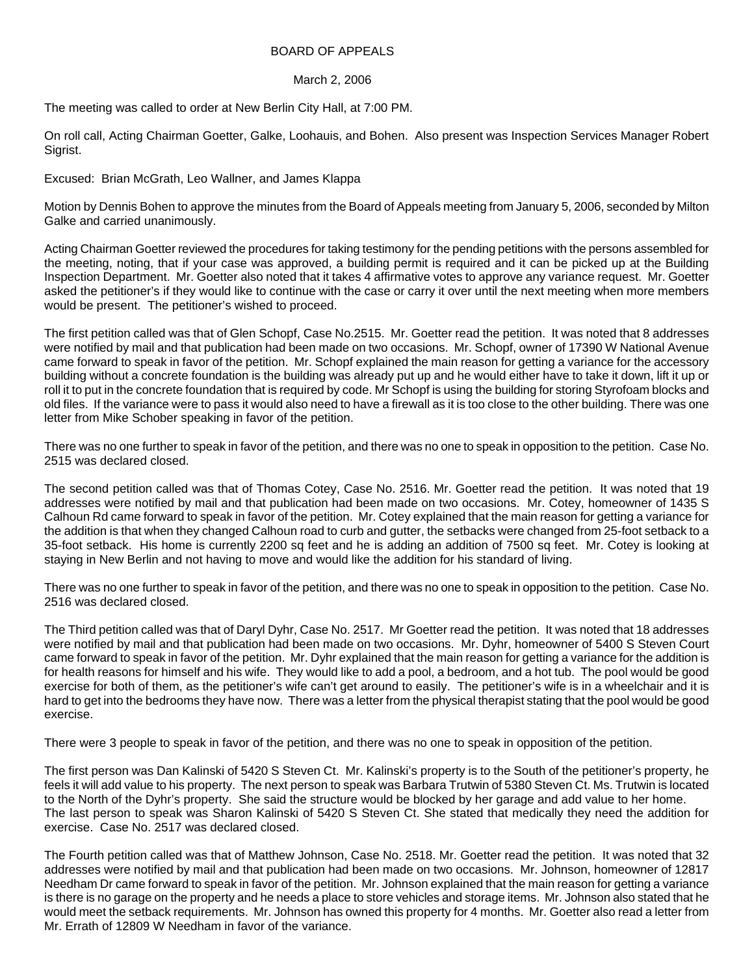## BOARD OF APPEALS

## March 2, 2006

The meeting was called to order at New Berlin City Hall, at 7:00 PM.

On roll call, Acting Chairman Goetter, Galke, Loohauis, and Bohen. Also present was Inspection Services Manager Robert Sigrist.

Excused: Brian McGrath, Leo Wallner, and James Klappa

Motion by Dennis Bohen to approve the minutes from the Board of Appeals meeting from January 5, 2006, seconded by Milton Galke and carried unanimously.

Acting Chairman Goetter reviewed the procedures for taking testimony for the pending petitions with the persons assembled for the meeting, noting, that if your case was approved, a building permit is required and it can be picked up at the Building Inspection Department. Mr. Goetter also noted that it takes 4 affirmative votes to approve any variance request. Mr. Goetter asked the petitioner's if they would like to continue with the case or carry it over until the next meeting when more members would be present. The petitioner's wished to proceed.

The first petition called was that of Glen Schopf, Case No.2515. Mr. Goetter read the petition. It was noted that 8 addresses were notified by mail and that publication had been made on two occasions. Mr. Schopf, owner of 17390 W National Avenue came forward to speak in favor of the petition. Mr. Schopf explained the main reason for getting a variance for the accessory building without a concrete foundation is the building was already put up and he would either have to take it down, lift it up or roll it to put in the concrete foundation that is required by code. Mr Schopf is using the building for storing Styrofoam blocks and old files. If the variance were to pass it would also need to have a firewall as it is too close to the other building. There was one letter from Mike Schober speaking in favor of the petition.

There was no one further to speak in favor of the petition, and there was no one to speak in opposition to the petition. Case No. 2515 was declared closed.

The second petition called was that of Thomas Cotey, Case No. 2516. Mr. Goetter read the petition. It was noted that 19 addresses were notified by mail and that publication had been made on two occasions. Mr. Cotey, homeowner of 1435 S Calhoun Rd came forward to speak in favor of the petition. Mr. Cotey explained that the main reason for getting a variance for the addition is that when they changed Calhoun road to curb and gutter, the setbacks were changed from 25-foot setback to a 35-foot setback. His home is currently 2200 sq feet and he is adding an addition of 7500 sq feet. Mr. Cotey is looking at staying in New Berlin and not having to move and would like the addition for his standard of living.

There was no one further to speak in favor of the petition, and there was no one to speak in opposition to the petition. Case No. 2516 was declared closed.

The Third petition called was that of Daryl Dyhr, Case No. 2517. Mr Goetter read the petition. It was noted that 18 addresses were notified by mail and that publication had been made on two occasions. Mr. Dyhr, homeowner of 5400 S Steven Court came forward to speak in favor of the petition. Mr. Dyhr explained that the main reason for getting a variance for the addition is for health reasons for himself and his wife. They would like to add a pool, a bedroom, and a hot tub. The pool would be good exercise for both of them, as the petitioner's wife can't get around to easily. The petitioner's wife is in a wheelchair and it is hard to get into the bedrooms they have now. There was a letter from the physical therapist stating that the pool would be good exercise.

There were 3 people to speak in favor of the petition, and there was no one to speak in opposition of the petition.

The first person was Dan Kalinski of 5420 S Steven Ct. Mr. Kalinski's property is to the South of the petitioner's property, he feels it will add value to his property. The next person to speak was Barbara Trutwin of 5380 Steven Ct. Ms. Trutwin is located to the North of the Dyhr's property. She said the structure would be blocked by her garage and add value to her home. The last person to speak was Sharon Kalinski of 5420 S Steven Ct. She stated that medically they need the addition for exercise. Case No. 2517 was declared closed.

The Fourth petition called was that of Matthew Johnson, Case No. 2518. Mr. Goetter read the petition. It was noted that 32 addresses were notified by mail and that publication had been made on two occasions. Mr. Johnson, homeowner of 12817 Needham Dr came forward to speak in favor of the petition. Mr. Johnson explained that the main reason for getting a variance is there is no garage on the property and he needs a place to store vehicles and storage items. Mr. Johnson also stated that he would meet the setback requirements. Mr. Johnson has owned this property for 4 months. Mr. Goetter also read a letter from Mr. Errath of 12809 W Needham in favor of the variance.